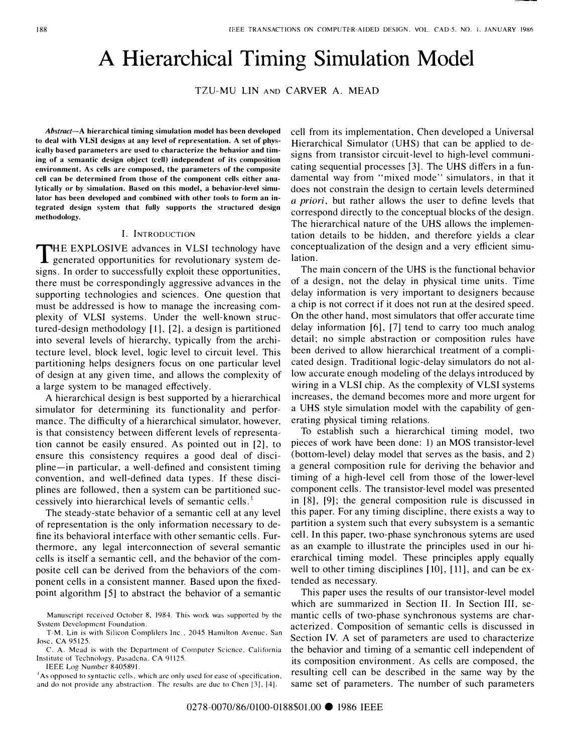# A Hierarchical Timing Simulation Model

TZU-MU LIN AND CARVER A. MEAD

Abstract-A hierarchical timing simulation model has been developed to deal with VLSI designs at any level of representation. A set of physically based parameters are used to characterize the hehavior and timing of a semantic design object (cell) independent of its composition environment. As cells are composed, the parameters of the composite cell can be determined from those of the component cells either analytically or by simulation. Based on this model, a behavior-level simulator has been developed and combined with other tools to form an integrated design system that fully supports the structured design methodology.

#### I. INTRODUCTION

THE EXPLOSIVE advances in VLSI technology have<br>generated opportunities for revolutionary system de generated opportunities for revolutionary system designs. In order to successfully exploit these opportunities, there must be correspondingly aggressive advances in the supporting technologies and sciences. One question that must be addressed is how to manage the increasing complexity of VLSI systems. Under the well-known structured-design methodology [11, [2], a design is partitioned into several levels of hierarchy, typically from the architecture level, block level, logic level to circuit level. This partitioning helps designers focus on one particular level of design at any given time, and allows the complexity of a large system to be managed effectively.

A hierarchical design is best supported by a hierarchical simulator for determining its functionality and performance. The difficulty of a hierarchical simulator, however, is that consistency between different levels of representation cannot be easily ensured. As pointed out in [2], to ensure this consistency requires a good deal of discipline-in particular, a well-defined and consistent timing convention, and well-defined data types. If these disciplines are followed, then a system can be partitioned successively into hierarchical levels of semantic cells.<sup>1</sup>

The steady-state behavior of a semantic cell at any level of representation is the only information necessary to define its behavioral interface with other semantic cells. Furthermore, any legal interconnection of several semantic cells is itself a semantic cell, and the behavior of the composite cell can be derived from the behaviors of the component cells in a consistent manner. Based upon the fixedpoint algorithm [5] to abstract the behavior of a semantic

IEEE Log Number 8405891.

<sup>1</sup>As opposed to syntactic cells, which are only used for ease of specification, and do not provide any abstraction. The results are due to Chen [3], [4].

cell from its implementation, Chen developed a Universal Hierarchical Simulator (UHS) that can be applied to designs from transistor circuit-level to high-level communicating sequential processes [3]. The UHS differs in a fundamental way from "mixed mode" simulators, in that it does not constrain the design to certain levels determined a priori, but rather allows the user to define levels that correspond directly to the conceptual blocks of the design. The hierarchical nature of the UHS allows the implementation details to be hidden, and therefore yields a clear conceptualization of the design and a very efficient simulation.

The main concern of the UHS is the functional behavior of a design, not the delay in physical time units. Time delay information is very important to designers because a chip is not correct if it does not run at the desired speed. On the other hand, most simulators that offer accurate time delay information  $[6]$ ,  $[7]$  tend to carry too much analog detail; no simple abstraction or composition rules have been derived to allow hierarchical treatment of a complicated design. Traditional logic-delay simulators do not allow accurate enough modeling of the delays introduced by wiring in a VLSI chip. As the complexity of VLSI systems increases, the demand becomes more and more urgent for a UHS style simulation model with the capability of generating physical timing relations.

To establish such a hierarchical timing model, two pieces of work have been done: 1) an MOS transistor-level (bottom-level) delay model that serves as the basis, and 2) a general composition rule for deriving the behavior and timing of a high-level cell from those of the lower-level component cells. The transistor-level model was presented in [8], [9]; the general composition rule is discussed in this paper. For any timing discipline, there exists a way to partition a system such that every subsystem is a semantic cell. In this paper, two-phase synchronous sytems are used as an example to illustrate the principles used in our hierarchical timing model. These principles apply equally well to other timing disciplines  $[10]$ ,  $[11]$ , and can be extended as necessary.

This paper uses the results of our transistor-level model which are summarized in Section II. In Section III, semantic cells of two-phase synchronous systems are characterized. Composition of semantic cells is discussed in Section IV. A set of parameters are used to characterize the behavior and timing of a semantic cell independent of its composition environment. As cells are composed, the resulting cell can be described in the same way by the same set of parameters. The number of such parameters

Manuscript received October 8. 1984. This work was supported by the System Development Foundation.

T-M. Lin is with Silicon Complilers Inc., 2045 Hamilton Avenue, San Jose. CA 95125.

C. A. Mead is with the Department of Computer Science. California Institute of Technology. Pasadena. CA 91125.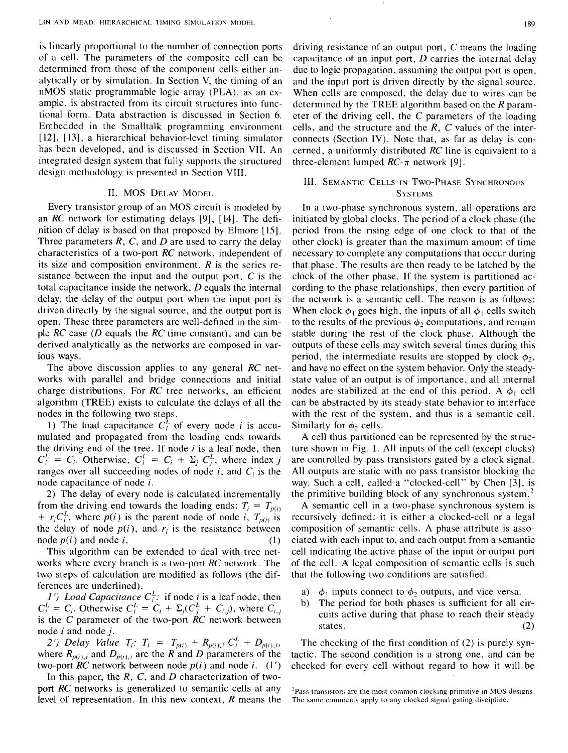is linearly proportional to the number of connection ports of a cell. The parameters of the composite cell can be determined from those of the component cells either analytically or by simulation. In Section V, the timing of an nMOS static programmable logic array (PLA), as an example, is abstracted from its circuit structures into functional form. Data abstraction is discussed in Section 6. Embedded in the Smalltalk programming environment [12], [13], a hierarchical behavior-level timing simulator has been developed, and is discussed in Section VII. An integrated design system that fully supports the structured design methodology is presented in Section VIII.

#### II. MOS DELAY MODEL

Every transistor group of an MOS circuit is modeled by an *RC* network for estimating delays [9], [ 14]. The definition of delay is based on that proposed by Elmore [ 15]. Three parameters R, C, and D are used to carry the delay characteristics of a two-port *RC* network, independent of its size and composition environment.  $R$  is the series resistance between the input and the output port,  $C$  is the total capacitance inside the network, D equals the internal delay, the delay of the output port when the input port is driven directly by the signal source, and the output port is open. These three parameters are well-defined in the simple *RC* case (D equals the *RC* time constant), and can be derived analytically as the networks are composed in various ways.

The above discussion applies to any general *RC* networks with parallel and bridge connections and initial charge distributions. For *RC* tree networks, an efficient algorithm (TREE) exists to calculate the delays of all the nodes in the following two steps.

1) The load capacitance  $C_i^L$  of every node *i* is accumulated and propagated from the loading ends towards the driving end of the tree. If node *i* is a leaf node, then  $C_i^L = C_i$ . Otherwise,  $C_i^L = C_i + \Sigma_j C_j^L$ , where index j ranges over all succeeding nodes of node i, and *C;* is the node capacitance of node i.

2) The delay of every node is calculated incrementally from the driving end towards the loading ends:  $T_i = T_{p(i)}$ +  $r_i C_i^L$ , where  $p(i)$  is the parent node of node i,  $T_{p(i)}$  is the delay of node  $p(i)$ , and  $r_i$  is the resistance between node  $p(i)$  and node *i*.  $(1)$ 

This algorithm can be extended to deal with tree networks where every branch is a two-port *RC* network. The two steps of calculation are modified as follows (the differences are underlined).

*l* ') *Load Capacitance*  $C_i^L$ : if node *i* is a leaf node, then  $C_i^L = C_i$ . Otherwise  $C_i^L = C_i + \Sigma_j (C_j^L + C_{i,j})$ , where  $C_{i,j}$ is the *C* parameter of the two-port *RC* network between node  $i$  and node  $j$ .

2') *Delay Value*  $T_i$ :  $T_i = T_{p(i)} + R_{p(i),i} C_i^L + D_{p(i),i}$ where  $R_{p(i),i}$  and  $D_{p(i),i}$  are the R and D parameters of the two-port  $RC$  network between node  $p(i)$  and node *i*.  $(1')$ 

In this paper, the *R,* C, and *D* characterization of twoport *RC* networks is generalized to semantic cells at any level of representation. In this new context, R means the driving resistance of an output port, C means the loading capacitance of an input port,  $D$  carries the internal delay due to logic propagation, assuming the output port is open, and the input port is driven directly by the signal source. When cells are composed, the delay due to wires can be determined by the TREE algorithm based on the  *param*eter of the driving cell, the C parameters of the loading cells, and the structure and the  $R$ ,  $C$  values of the interconnects (Section IV). Note that, as far as delay is concerned, a uniformly distributed *RC* line is equivalent to a three-element lumped  $RC-\pi$  network [9].

# III. SEMANTIC CELLS IN Two-PHASE SYNCHRONOUS **SYSTEMS**

In a two-phase synchronous system, all operations are initiated by global clocks. The period of a clock phase (the period from the rising edge of one clock to that of the other clock) is greater than the maximum amount of time necessary to complete any computations that occur during that phase. The results are then ready to be latched by the clock of the other phase. If the system is partitioned according to the phase relationships, then every partition of the network is a semantic cell. The reason is as follows: When clock  $\phi_1$  goes high, the inputs of all  $\phi_1$  cells switch to the results of the previous  $\phi_2$  computations, and remain stable during the rest of the clock phase. Although the outputs of these cells may switch several times during this period, the intermediate results are stopped by clock  $\phi_2$ , and have no effect on the system behavior. Only the steadystate value of an output is of importance, and all internal nodes are stabilized at the end of this period. A  $\phi_1$  cell can be abstracted by its steady-state behavior to interface with the rest of the system, and thus is a semantic cell. Similarly for  $\phi_2$  cells.

A cell thus partitioned can be represented by the structure shown in Fig. 1. All inputs of the cell (except clocks) are controlled by pass transistors gated by a clock signal. All outputs are static with no pass transistor blocking the way. Such a cell, called a "clocked-cell" by Chen [3], is the primitive building block of any synchronous system.<sup>2</sup>

A semantic cell in a two-phase synchronous system is recursively defined: it is either a clocked-cell or a legal composition of semantic cells. A phase attribute is associated with each input to, and each output from a semantic cell indicating the active phase of the input or output port of the cell. A legal composition of semantic cells is such that the following two conditions are satisfied.

- a)  $\phi_1$  inputs connect to  $\phi_2$  outputs, and vice versa.
- b) The period for both phases is sufficient for all circuits active during that phase to reach their steady states.  $(2)$

The checking of the first condition of (2) is purely syntactic. The second condition is a strong one, and can be checked for every cell without regard to how it will be

 $2$ Pass transistors are the most common clocking primitive in MOS designs. The same comments apply to any clocked signal gating discipline.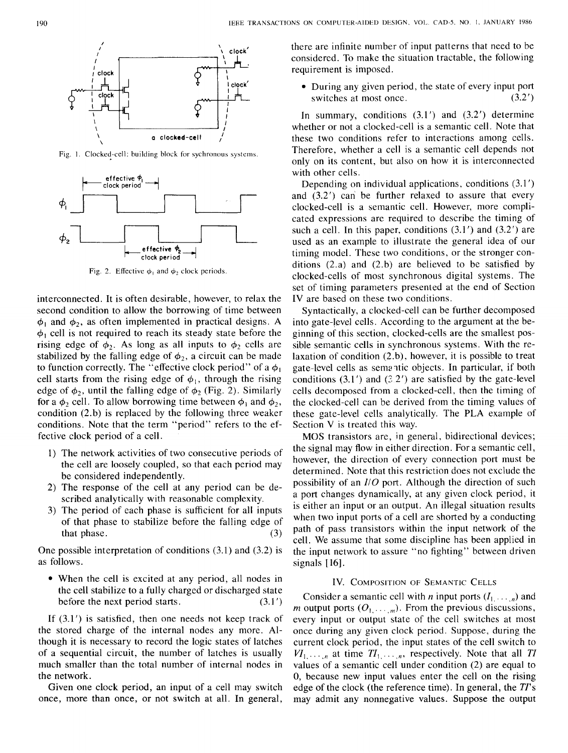

Fig. 1. Clocked-cell: building block for sychronous systems.



Fig. 2. Effective  $\phi_1$  and  $\phi_2$  clock periods.

interconnected. It is often desirable, however, to relax the second condition to allow the borrowing of time between  $\phi_1$  and  $\phi_2$ , as often implemented in practical designs. A  $\phi_1$  cell is not required to reach its steady state before the rising edge of  $\phi_2$ . As long as all inputs to  $\phi_2$  cells are stabilized by the falling edge of  $\phi_2$ , a circuit can be made to function correctly. The "effective clock period" of a  $\phi_1$ cell starts from the rising edge of  $\phi_1$ , through the rising edge of  $\phi_2$ , until the falling edge of  $\phi_2$  (Fig. 2). Similarly for a  $\phi_2$  cell. To allow borrowing time between  $\phi_1$  and  $\phi_2$ , condition (2. b) is replaced by the following three weaker conditions. Note that the term "period" refers to the effective clock period of a cell.

- l) The network activities of two consecutive periods of the cell are loosely coupled, so that each period may be considered independently.
- 2) The response of the cell at any period can be described analytically with reasonable complexity.
- 3) The period of each phase is sufficient for all inputs of that phase to stabilize before the falling edge of that phase.  $(3)$

One possible interpretation of conditions (3.1) and (3.2) is as follows.

• When the cell is excited at any period, all nodes in the cell stabilize to a fully charged or discharged state before the next period starts.  $(3.1')$ 

If  $(3.1')$  is satisfied, then one needs not keep track of the stored charge of the internal nodes any more. Although it is necessary to record the logic states of latches of a sequential circuit, the number of latches is usually much smaller than the total number of internal nodes in the network.

Given one clock period, an input of a cell may switch once, more than once, or not switch at all. In general,

there are infinite number of input patterns that need to be considered. To make the situation tractable, the following requirement is imposed.

• During any given period, the state of every input port switches at most once. (3.2') switches at most once.

In summary, conditions  $(3.1')$  and  $(3.2')$  determine whether or not a clocked-cell is a semantic cell. Note that these two conditions refer to interactions among cells. Therefore, whether a cell is a semantic cell depends not only on its content, but also on how it is interconnected with other cells.

Depending on individual applications, conditions (3.1') and (3.2') can be further relaxed to assure that every clocked-cell is a semantic cell. However, more complicated expressions are required to describe the timing of such a cell. In this paper, conditions  $(3.1')$  and  $(3.2')$  are used as an example to illustrate the general idea of our timing model. These two conditions, or the stronger conditions  $(2.a)$  and  $(2.b)$  are believed to be satisfied by clocked-cells of most synchronous digital systems. The set of timing parameters presented at the end of Section IV are based on these two conditions.

Syntactically, a clocked-cell can be further decomposed into gate-level cells. According to the argument at the beginning of this section, clocked-cells are the smallest possible semantic cells in synchronous systems. With the relaxation of condition (2.b), however, it is possible to treat gate-level cells as semantic objects. In particular, if both conditions  $(3.1')$  and  $(3.2')$  are satisfied by the gate-level cells decomposed from a clocked-cell, then the timing of the clocked-cell can be derived from the timing values of these gate-level cells analytically. The PLA example of Section V is treated this way.

MOS transistors are, in general, bidirectional devices; the signal may flow in either direction. For a semantic cell, however, the direction of every connection port must be determined. Note that this restriction does not exclude the possibility of an *//0* port. Although the direction of such a port changes dynamically, at any given clock period, it is either an input or an output. An illegal situation results when two input ports of a cell are shorted by a conducting path of pass transistors within the input network of the cell. We assume that some discipline has been applied in the input network to assure "no fighting" between driven signals [ 16].

# IV. COMPOSITION OF SEMANTIC CELLS

Consider a semantic cell with *n* input ports  $(I_1, \ldots, n)$  and *m* output ports  $(O_{1}, \ldots, m)$ . From the previous discussions, every input or output state of the cell switches at most once during any given clock period. Suppose, during the current clock period, the input states of the cell switch to  $VI_1, \ldots, n$  at time  $TI_1, \ldots, n$ , respectively. Note that all *TI* values of a semantic cell under condition (2) are equal to 0, because new input values enter the cell on the rising edge of the clock (the reference time). In general, the *Tl's*  may admit any nonnegative values. Suppose the output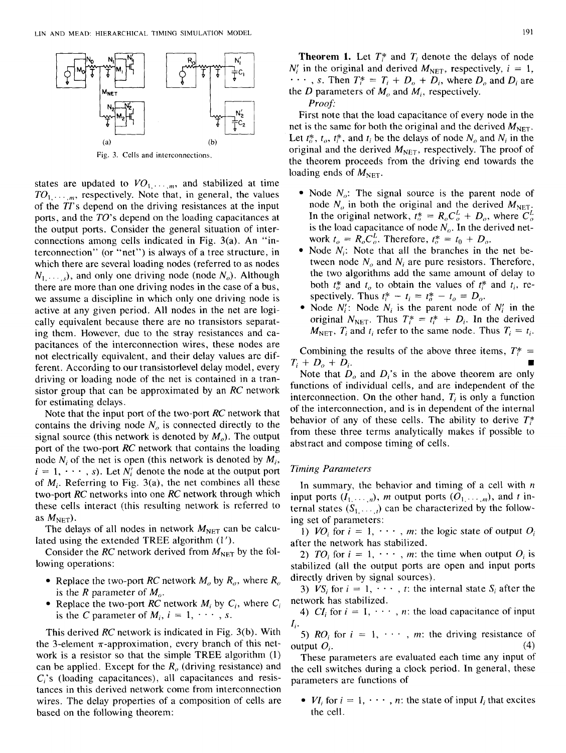

Fig. 3. Cells and interconnections.

states are updated to  $VO_1, \ldots, m$ , and stabilized at time  $TO<sub>1</sub>, \ldots$ <sub>m</sub>, respectively. Note that, in general, the values of the *TI'* s depend on the driving resistances at the input ports, and the *TO's* depend on the loading capacitances at the output ports. Consider the general situation of interconnections among cells indicated in Fig. 3(a). An "interconnection" (or "net") is always of a tree structure, in which there are several loading nodes (referred to as nodes  $N_1, \ldots, S_n$ , and only one driving node (node  $N_0$ ). Although there are more than one driving nodes in the case of a bus, we assume a discipline in which only one driving node is active at any given period. All nodes in the net are logically equivalent because there are no transistors separating them. However, due to the stray resistances and capacitances of the interconnection wires, these nodes are not electrically equivalent, and their delay values are different. According to our transistorlevel delay model, every driving or loading node of the net is contained in a transistor group that can be approximated by an *RC* network for estimating delays.

Note that the input port of the two-port *RC* network that contains the driving node  $N<sub>o</sub>$  is connected directly to the signal source (this network is denoted by  $M<sub>o</sub>$ ). The output port of the two-port *RC* network that contains the loading node *N<sub>i</sub>* of the net is open (this network is denoted by  $M_i$ ,  $i = 1, \dots, s$ . Let  $N_i$  denote the node at the output port of *Mi.* Referring to Fig. 3(a), the net combines all these two-port *RC* networks into one *RC* network through which these cells interact (this resulting network is referred to as  $M_{\text{NET}}$ ).

The delays of all nodes in network  $M<sub>NET</sub>$  can be calculated using the extended TREE algorithm (I').

Consider the *RC* network derived from  $M<sub>NET</sub>$  by the following operations:

- Replace the two-port *RC* network  $M_o$  by  $R_o$ , where  $R_o$ is the *R* parameter of  $M_{\alpha}$ .
- Replace the two-port *RC* network  $M_i$  by  $C_i$ , where  $C_i$ is the C parameter of  $M_i$ ,  $i = 1, \dots, s$ .

This derived *RC* network is indicated in Fig. 3(b). With the 3-element  $\pi$ -approximation, every branch of this network is a resistor so that the simple TREE algorithm (1) can be applied. Except for the  $R<sub>o</sub>$  (driving resistance) and  $C_i$ 's (loading capacitances), all capacitances and resistances in this derived network come from interconnection wires. The delay properties of a composition of cells are based on the following theorem:

**Theorem 1.** Let  $T_i^*$  and  $T_i$  denote the delays of node  $N_i'$  in the original and derived  $M_{\text{NET}}$ , respectively,  $i = 1$ ,  $\cdots$ , *s*. Then  $T_i^* = T_i + D_o + D_i$ , where  $D_o$  and  $D_i$  are the *D* parameters of  $M_0$  and  $M_i$ , respectively.

*Proof'* 

First note that the load capacitance of every node in the net is the same for both the original and the derived  $M_{\text{NET}}$ . Let  $t_0^*, t_0, t_i^*$ , and  $t_i$  be the delays of node  $N_0$  and  $N_i$  in the original and the derived  $M_{\text{NET}}$ , respectively. The proof of the theorem proceeds from the driving end towards the loading ends of  $M<sub>NET</sub>$ .

- Node  $N<sub>o</sub>$ : The signal source is the parent node of node  $N_o$  in both the original and the derived  $M_{\text{NET}}$ . In the original network,  $t_o^* = R_o C_o^L + D_o$ , where  $C_o^L$ is the load capacitance of node  $N<sub>o</sub>$ . In the derived network  $t_0 = R_0 C_0^L$ . Therefore,  $t_0^* = t_0 + D_0$ .
- Node  $N_i$ : Note that all the branches in the net between node  $N<sub>o</sub>$  and  $N<sub>i</sub>$  are pure resistors. Therefore, the two algorithms add the same amount of delay to both  $t_0^*$  and  $t_0$  to obtain the values of  $t_i^*$  and  $t_i$ , respectively. Thus  $t_i^* - t_i = t_o^* - t_o = D_o$ .
- Node  $N_i$ : Node  $N_i$  is the parent node of  $N_i$  in the original  $N_{\text{NET}}$ . Thus  $T_i^* = t_i^* + D_i$ . In the derived  $M<sub>NET</sub>, T<sub>i</sub>$  and  $t<sub>i</sub>$  refer to the same node. Thus  $T<sub>i</sub> = t<sub>i</sub>$ .

Combining the results of the above three items,  $T^*$  =  $T_i + D_o + D_i$ .

Note that  $D_0$  and  $D_i$ 's in the above theorem are only functions of individual cells, and are independent of the interconnection. On the other hand,  $T_i$  is only a function of the interconnection, and is in dependent of the internal behavior of any of these cells. The ability to derive  $T^*$ from these three terms analytically makes if possible to abstract and compose timing of cells.

# *Timing Parameters*

In summary, the behavior and timing of a cell with *n*  input ports  $(I_1, \ldots, n)$ , *m* output ports  $(O_1, \ldots, m)$ , and *t* internal states  $(S_1, \ldots)$  can be characterized by the following set of parameters:

1) *VO<sub>i</sub>* for  $i = 1, \dots, m$ : the logic state of output  $O_i$ after the network has stabilized.

2) *TO<sub>i</sub>* for  $i = 1, \dots, m$ : the time when output  $O_i$  is stabilized (all the output ports are open and input ports directly driven by signal sources).

3)  $VS_i$  for  $i = 1, \dots, t$ : the internal state  $S_i$  after the network has stabilized.

4)  $CI_i$  for  $i = 1, \dots, n$ : the load capacitance of input *I;.* 

5) *RO<sub>i</sub>* for  $i = 1, \dots, m$ : the driving resistance of output  $O_i$ . (4)

These parameters are evaluated each time any input of the cell switches during a clock period. In general, these parameters are functions of

•  $VI_i$  for  $i = 1, \dots, n$ : the state of input  $I_i$  that excites the cell.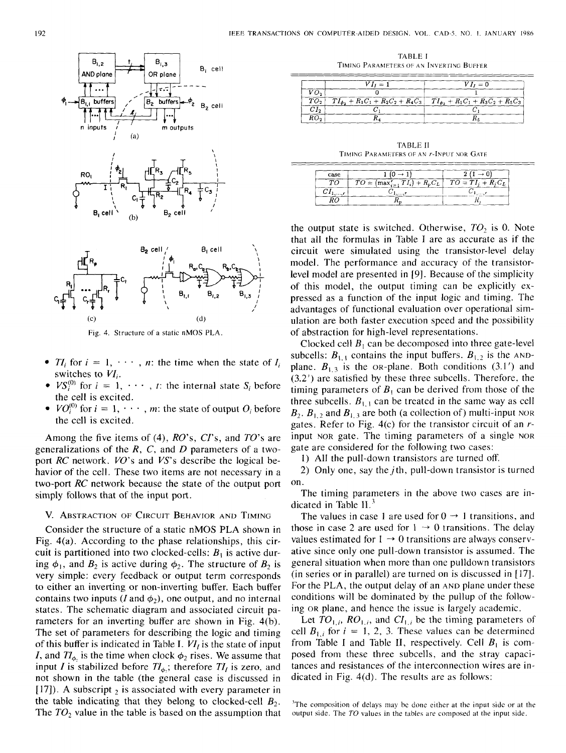



Fig. 4. Structure of a static nMOS PLA.

- $TI_i$  for  $i = 1, \dots, n$ : the time when the state of  $I_i$ switches to *VI;.*
- $VS_i^{(0)}$  for  $i = 1, \dots, t$ : the internal state  $S_i$  before the cell is excited.
- $VO_i^{(0)}$  for  $i = 1, \dots, m$ : the state of output  $O_i$  before the cell is excited.

Among the five items of (4), *RO's, Cl's,* and *TO's* are generalizations of the *R,* C, and *D* parameters of a twoport *RC* network. *VO's* and *VS's* describe the logical behavior of the cell. These two items are not necessary in a two-port *RC* network because the state of the output port simply follows that of the input port.

# V. ABSTRACTION OF CIRCUIT BEHAVIOR AND TIMING

Consider the structure of a static nMOS PLA shown in Fig. 4(a). According to the phase relationships, this circuit is partitioned into two clocked-cells:  $B_1$  is active during  $\phi_1$ , and  $B_2$  is active during  $\phi_2$ . The structure of  $B_2$  is very simple: every feedback or output term corresponds to either an inverting or non-inverting buffer. Each buffer contains two inputs (*I* and  $\phi_2$ ), one output, and no internal states. The schematic diagram and associated circuit parameters for an inverting buffer are shown in Fig. 4(b). The set of parameters for describing the logic and timing of this buffer is indicated in Table I.  $VI<sub>I</sub>$  is the state of input *I*, and  $Tl_{\phi}$ , is the time when clock  $\phi_2$  rises. We assume that input *I* is stabilized before  $Tl_{\phi}$ ; therefore  $Tl_{I}$  is zero, and not shown in the table (the general case is discussed in [17]). A subscript  $<sub>2</sub>$  is associated with every parameter in</sub> the table indicating that they belong to clocked-cell  $B_2$ . The  $TO<sub>2</sub>$  value in the table is based on the assumption that

TABLE l TIMING PARAMETERS OF AN INVERTING BUFFER

|  |                   | $VI_1 = 1$                                                                                       | $VI_1 = 0$ |
|--|-------------------|--------------------------------------------------------------------------------------------------|------------|
|  | $V\Omega_{\rm g}$ |                                                                                                  |            |
|  |                   | $\boxed{TO_2$ $TI_{\phi_2} + R_1C_1 + R_2C_2 + R_4C_3}$ $TI_{\phi_2} + R_1C_1 + R_3C_2 + R_5C_3$ |            |
|  |                   |                                                                                                  |            |
|  |                   |                                                                                                  |            |

TABLE JI TIMING PARAMETERS OF AN r-INPUT NOR GATE

| case |                                               |  |
|------|-----------------------------------------------|--|
|      | $TO = (max_{i=1}^{r} TI_i) + R_pC_L$   $TO =$ |  |
|      |                                               |  |
|      |                                               |  |

the output state is switched. Otherwise, T0*2* is 0. Note that all the formulas in Table I are as accurate as if the circuit were simulated using the transistor-level delay model. The performance and accuracy of the transistorlevel model are presented in [9]. Because of the simplicity of this model, the output timing can be explicitly expressed as a function of the input logic and timing. The advantages of functional evaluation over operational simulation are both faster execution speed and the possibility of abstraction for high-level representations.

Clocked cell  $B_1$  can be decomposed into three gate-level subcells:  $B_{1,1}$  contains the input buffers.  $B_{1,2}$  is the ANDplane.  $B_{1,3}$  is the OR-plane. Both conditions (3.1') and (3.2') are satisfied by these three subcells. Therefore. the timing parameters of  $B_1$  can be derived from those of the three subcells.  $B_{1,1}$  can be treated in the same way as cell  $B_2$ ,  $B_{1,2}$  and  $B_{1,3}$  are both (a collection of) multi-input NOR gates. Refer to Fig. 4(c) for the transistor circuit of an *r*input NOR gate. The timing parameters of a single NOR gate are considered for the following two cases:

1) All the pull-down transistors are turned off.

2) Only one, say the  $j$ th, pull-down transistor is turned on.

The timing parameters in the above two cases are indicated in Table  $II.<sup>3</sup>$ 

The values in case 1 are used for  $0 \rightarrow 1$  transitions, and those in case 2 are used for  $1 \rightarrow 0$  transitions. The delay values estimated for  $1 \rightarrow 0$  transitions are always conservative since only one pull-down transistor is assumed. The general situation when more than one pulldown transistors (in series or in parallel) are turned on is discussed in [ 17]. For the PLA, the output delay of an AND plane under these conditions will be dominated by the pullup of the following OR plane, and hence the issue is largely academic.

Let  $TO_{1,i}$ ,  $RO_{1,i}$ , and  $CI_{1,i}$  be the timing parameters of cell  $B_{1,i}$  for  $i = 1, 2, 3$ . These values can be determined from Table I and Table II, respectively. Cell  $B_1$  is composed from these three subcells, and the stray capacitances and resistances of the interconnection wires are indicated in Fig. 4(d). The results are as follows:

<sup>&</sup>lt;sup>3</sup>The composition of delays may be done either at the input side or at the output side. The *TO* values in the tables are composed at *the* input side.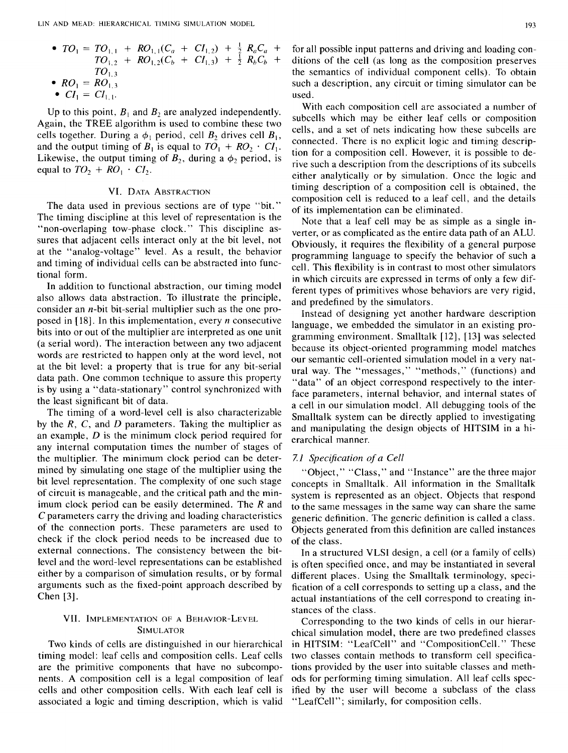• 
$$
TO_1 = TO_{1,1} + RO_{1,1}(C_a + CI_{1,2}) + \frac{1}{2}R_aC_a + TO_{1,2} + RO_{1,2}(C_b + CI_{1,3}) + \frac{1}{2}R_bC_b + TO_{1,3}
$$
  
\n•  $RO_1 = RO_{1,3}$ 

•  $CI_1 = CI_{1,1}$ 

Up to this point,  $B_1$  and  $B_2$  are analyzed independently. Again, the TREE algorithm is used to combine these two cells together. During a  $\phi_1$  period, cell  $B_2$  drives cell  $B_1$ , and the output timing of  $B_1$  is equal to  $TO_1 + RO_2 \cdot CI_1$ . Likewise, the output timing of  $B_2$ , during a  $\phi_2$  period, is equal to  $TO_2 + RO_1 \cdot CI_2$ .

# VI. DATA ABSTRACTION

The data used in previous sections are of type "bit." The timing discipline at this level of representation is the "non-overlaping tow-phase clock." This discipline assures that adjacent cells interact only at the bit level, not at the "analog-voltage" level. As a result, the behavior and timing of individual cells can be abstracted into functional form.

In addition to functional abstraction, our timing model also allows data abstraction. To illustrate the principle, consider an n-bit bit-serial multiplier such as the one proposed in [ 18]. In this implementation, every *n* consecutive bits into or out of the multiplier are interpreted as one unit (a serial word). The interaction between any two adjacent words are restricted to happen only at the word level, not at the bit level: a property that is true for any bit-serial data path. One common technique to assure this property is by using a "data-stationary" control synchronized with the least significant bit of data.

The timing of a word-level cell is also characterizable by the *R,* C, and *D* parameters. Taking the multiplier as an example, D is the minimum clock period required for any internal computation times the number of stages of the multiplier. The minimum clock period can be determined by simulating one stage of the multiplier using the bit level representation. The complexity of one such stage of circuit is manageable, and the critical path and the minimum clock period can be easily determined. The  *and* C parameters carry the driving and loading characteristics of the connection ports. These parameters are used to check if the clock period needs to be increased due to external connections. The consistency between the bitlevel and the word-level representations can be established either by a comparison of simulation results, or by formal arguments such as the fixed-point approach described by Chen [3].

# VII. IMPLEMENTATION OF A BEHAVIOR-LEVEL SIMULATOR

Two kinds of cells are distinguished in our hierarchical timing model: leaf cells and composition cells. Leaf cells are the primitive components that have no subcomponents. A composition cell is a legal composition of leaf cells and other composition cells. With each leaf cell is associated a logic and timing description, which is valid for all possible input patterns and driving and loading conditions of the cell (as long as the composition preserves the semantics of individual component cells). To obtain such a description, any circuit or timing simulator can be used.

With each composition cell are associated a number of subcells which may be either leaf cells or composition cells, and a set of nets indicating how these subcells are connected. There is no explicit logic and timing description for a composition cell. However, it is possible to derive such a description from the descriptions of its subcells either analytically or by simulation. Once the logic and timing description of a composition cell is obtained, the composition cell is reduced to a leaf cell, and the details of its implementation can be eliminated.

Note that a leaf cell may be as simple as a single inverter, or as complicated as the entire data path of an ALU. Obviously, it requires the flexibility of a general purpose programming language to specify the behavior of such a cell. This flexibility is in contrast to most other simulators in which circuits are expressed in terms of only a few different types of primitives whose behaviors are very rigid, and predefined by the simulators.

Instead of designing yet another hardware description language, we embedded the simulator in an existing programming environment. Smalltalk [12], [13] was selected because its object-oriented programming model matches our semantic cell-oriented simulation model in a very natural way. The "messages," "methods," (functions) and "data" of an object correspond respectively to the interface parameters, internal behavior, and internal states of a cell in our simulation model. All debugging tools of the Smalltalk system can be directly applied to investigating and manipulating the design objects of HITSIM in a hierarchical manner.

# *7.1 Specification of a Cell*

"Object," "Class," and "Instance" are the three major concepts in Smalltalk. All information in the Smalltalk system is represented as an object. Objects that respond to the same messages in the same way can share the same generic definition. The generic definition is called a class. Objects generated from this definition are called instances of the class.

In a structured VLSI design, a cell (or a family of cells) is often specified once, and may be instantiated in several different places. Using the Smalltalk terminology, specification of a cell corresponds to setting up a class, and the actual instantiations of the cell correspond to creating instances of the class.

Corresponding to the two kinds of cells in our hierarchical simulation model, there are two predefined classes in HITSIM: "LeafCell" and "CompositionCell." These two classes contain methods to transform cell specifications provided by the user into suitable classes and methods for performing timing simulation. All leaf cells specified by the user will become a subclass of the class "LeafCell"; similarly, for composition cells.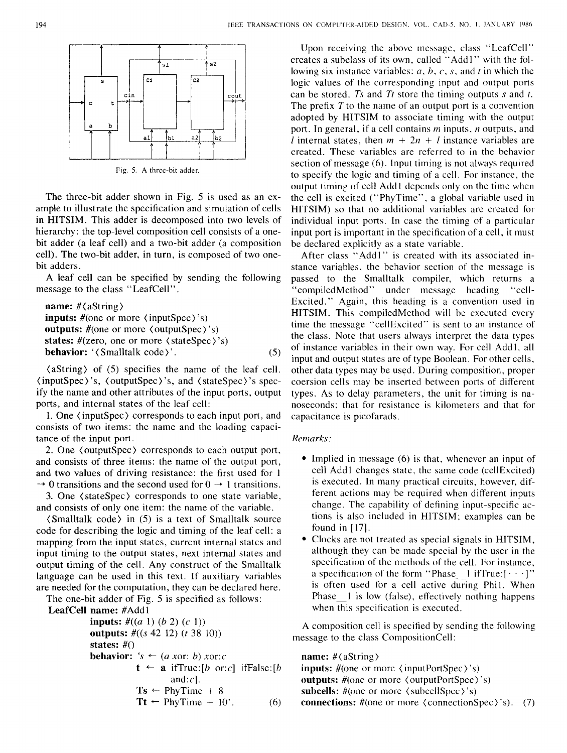194 IEEE TRANSACTIONS ON COMPUTER-AIDED DESIGN. VOL CAD-5. NO. L JANUARY 1986



Fig. 5. A three-bit adder.

The three-bit adder shown in Fig. 5 is used as an example to illustrate the specification and simulation of cells in HITSIM. This adder is decomposed into two levels of hierarchy: the top-level composition cell consists of a onebit adder (a leaf cell) and a two-bit adder (a composition cell). The two-bit adder, in turn, is composed of two onebit adders.

A leaf cell can be specified by sending the following message to the class "LeafCell".

```
name: #(aString) 
inputs: #(one or more \langle inputSpec\rangle's)
outputs: #(one or more (outputSpec) 's) 
states: \#(\text{zero}, \text{ one or more } \langle \text{stateSpec} \rangle)'s)
behavior: '\langleSmalltalk code\rangle'. (5)
```
 $\langle$  aString  $\rangle$  of (5) specifies the name of the leaf cell. (inputSpec) 's, (outputSpec) 's, and (stateSpec) 's specify the name and other attributes of the input ports, output ports, and internal states of the leaf cell:

1. One ( inputSpec) corresponds to each input port, and consists of two items: the name and the loading capacitance of the input port.

2. One ( outputSpec) corresponds to each output port, and consists of three items: the name of the output port, and two values of driving resistance: the first used for 1  $\rightarrow$  0 transitions and the second used for 0  $\rightarrow$  1 transitions.

3. One ( stateSpec) corresponds to one state variable, and consists of only one item: the name of the variable.

(Smalltalk code) in (5) is a text of Smalltalk source code for describing the logic and timing of the leaf cell: a mapping from the input states, current internal states and input timing to the output states, next internal states and output timing of the cell. Any construct of the Smalltalk language can be used in this text. If auxiliary variables are needed for the computation, they can be declared here.

The one-bit adder of Fig. 5 is specified as follows: LeafCell

inputs: #((a 1) (b 2) (c 1)) outputs: #((s 42 12) *(t* 38 10)) states:#() behavior: 's .\_ (a xor: b) xor:c t .\_ a ifTrue:[b or:c] ifFalse:[b and:c]. Ts .\_ PhyTime + 8 Tt .\_ PhyTime + 10'. (6)

Upon receiving the above message, class "LeafCell" creates a subclass of its own, called "Add1" with the following six instance variables: *a*, *b*, *c*, *s*, and *t* in which the logic values of the corresponding input and output ports can be stored. *Ts* and *Tt* store the timing outputs *s* and *t*. The prefix  $T$  to the name of an output port is a convention adopted by HITSIM to associate timing with the output port. In general, if a cell contains *m* inputs, *n* outputs, and *l* internal states, then  $m + 2n + l$  instance variables are created. These variables are referred to in the behavior section of message (6). Input timing is not always required to specify the logic and timing of a cell. For instance, the output timing of cell Add1 depends only on the time when the cell is excited ("PhyTime", a global variable used in HITSIM) so that no additional variables are created for individual input ports. In case the timing of a particular input port is important in the specification of a cell, it must be declared explicitly as a state variable.

After class "Add1" is created with its associated instance variables, the behavior section of the message is passed to the Smalltalk compiler, which returns a<br>"compiledMethod" under message heading "cell-"compiledMethod" under message heading Excited." Again, this heading is a convention used in HITSIM. This compiledMethod will be executed every time the message "cellExcited" is sent to an instance of the class. Note that users always interpret the data types of instance variables in their own way. For cell Add I, all input and output states are of type Boolean. For other cells, other data types may be used. During composition, proper coersion cells may be inserted between ports of different types. As to delay parameters. the unit for timing is nanoseconds; that for resistance is kilometers and that for capacitance is picofarads.

# *Remarks:*

- Implied in message (6) is that, whenever an input of cell Add1 changes state, the same code (cellExcited) is executed. In many practical circuits, however, different actions may be required when different inputs change. The capability of defining input-specific actions is also included in HITSIM; examples can be found in [17].
- Clocks are not treated as special signals in HITSIM, although they can be made special by the user in the specification of the methods of the cell. For instance, a specification of the form "Phase  $1$  if True:  $[\cdot \cdot \cdot]'$ " is often used for a cell active during Phi1. When Phase 1 is low (false), effectively nothing happens when this specification is executed.

A composition cell is specified by sending the following message to the class CompositionCell:

# name: #(aString)

**inputs:**  $\#$ (one or more  $\langle$  inputPortSpec $\rangle$ 's) outputs: #(one or more (outputPortSpec) 's) subcells: #(one or more (subcellSpec)'s) connections:  $\#$ (one or more  $\langle$  connectionSpec $\rangle$ 's). (7)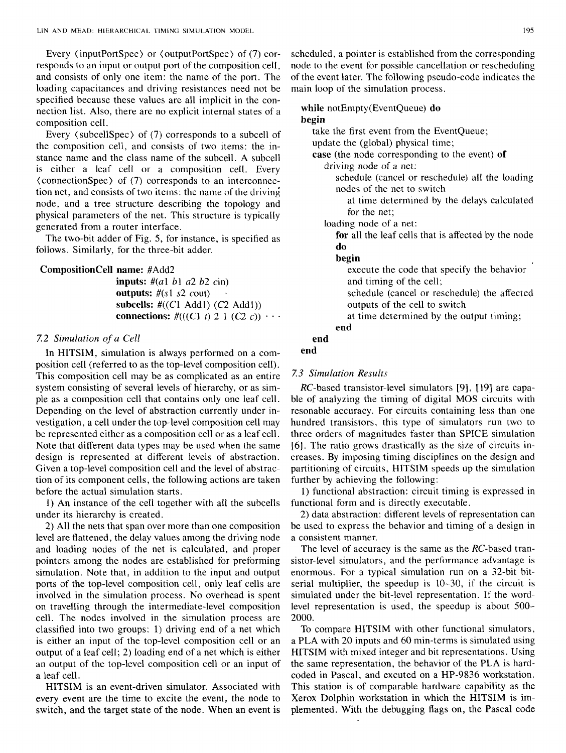Every  $\langle$  inputPortSpec $\rangle$  or  $\langle$  outputPortSpec $\rangle$  of (7) corresponds to an input or output port of the composition cell, and consists of only one item: the name of the port. The loading capacitances and driving resistances need not be specified because these values are all implicit in the connection list. Also, there are no explicit internal states of a composition cell.

Every ( subcellSpec) of (7) corresponds to a subcell of the composition cell, and consists of two items: the instance name and the class name of the subcell. A subcell is either a leaf cell or a composition cell. Every ( connectionSpec) of (7) corresponds to an interconnection net, and consists of two items: the name of the driving node, and a tree structure describing the topology and physical parameters of the net. This structure is typically generated from a router interface.

The two-bit adder of Fig. 5, for instance, is specified as follows. Similarly, for the three-bit adder.

# **CompositionCell name:** #Add2

**inputs:** #(al bl *a2 b2* cin) **outputs:** #(sl *s2* cout) **subcells:** #((Cl Addl) (C2 Addl)) **connections:**  $\#(((C1 \ t) \ 2 \ 1 \ (C2 \ c)) \ \cdots$ 

# 7.2 *Simulation of a Cell*

In HITSIM, simulation is always performed on a composition cell (referred to as the top-level composition cell). This composition cell may be as complicated as an entire system consisting of several levels of hierarchy, or as simple as a composition cell that contains only one leaf cell. Depending on the level of abstraction currently under investigation, a cell under the top-level composition cell may be represented either as a composition cell or as a leaf cell. Note that different data types may be used when the same design is represented at different levels of abstraction. Given a top-level composition cell and the level of abstraction of its component cells, the following actions are taken before the actual simulation starts.

1) An instance of the cell together with all the subcells under its hierarchy is created.

2) All the nets that span over more than one composition level are flattened, the delay values among the driving node and loading nodes of the net is calculated, and proper pointers among the nodes are established for preforming simulation. Note that, in addition to the input and output ports of the top-level composition cell, only leaf cells are involved in the simulation process. No overhead is spent on travelling through the intermediate-level composition cell. The nodes involved in the simulation process are classified into two groups: 1) driving end of a net which is either an input of the top-level composition cell or an output of a leaf cell; 2) loading end of a net which is either an output of the top-level composition cell or an input of a leaf cell.

HITSIM is an event-driven simulator. Associated with every event are the time to excite the event, the node to switch, and the target state of the node. When an event is scheduled, a pointer is established from the corresponding node to the event for possible cancellation or rescheduling of the event later. The following pseudo-code indicates the main loop of the simulation process.

# **while** notEmpty(EventQueue) **do begin**

take the first event from the EventQueue;

update the (global) physical time;

case (the node corresponding to the event) **of**  driving node of a net:

schedule (cancel or reschedule) all the loading nodes of the net to switch

at time determined by the delays calculated for the net;

loading node of a net:

**for** all the leaf cells that is affected by the node **do** 

### **begin**

execute the code that specify the behavior and timing of the cell;

schedule (cancel or reschedule) the affected outputs of the cell to switch

at time determined by the output timing; **end** 

# **end**

# **end**

#### *7.3 Simulation Results*

RC-based transistor-level simulators [9], [ 19] are capable of analyzing the timing of digital MOS circuits with resonable accuracy. For circuits containing less than one hundred transistors, this type of simulators run two to three orders of magnitudes faster than SPICE simulation [6]. The ratio grows drastically as the size of circuits increases. By imposing timing disciplines on the design and partitioning of circuits, HITSIM speeds up the simulation further by achieving the following:

1) functional abstraction: circuit timing is expressed in functional form and is directly executable.

2) data abstraction: different levels of representation can be used to express the behavior and timing of a design in a consistent manner.

The level of accuracy is the same as the RC-based transistor-level simulators, and the performance advantage is enormous. For a typical simulation run on a 32-bit bitserial multiplier, the speedup is 10-30, if the circuit is simulated under the bit-level representation. If the wordlevel representation is used, the speedup is about 500- 2000.

To compare HITSIM with other functional simulators, a PLA with 20 inputs and 60 min-terms is simulated using HITSIM with mixed integer and bit representations. Using the same representation, the behavior of the PLA is hardcoded in Pascal, and excuted on a HP-9836 workstation. This station is of comparable hardware capability as the Xerox Dolphin workstation in which the HITSIM is implemented. With the debugging flags on, the Pascal code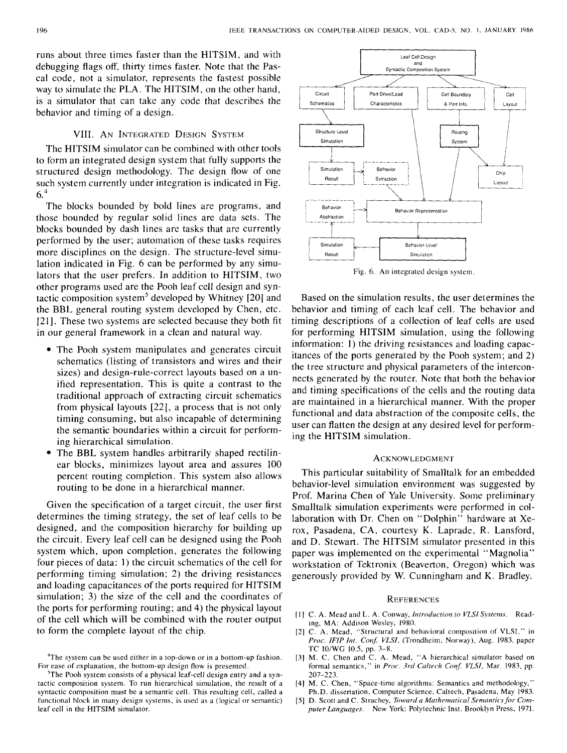runs about three times faster than the HITSIM, and with debugging flags off, thirty times faster. Note that the Pascal code, not a simulator, represents the fastest possible way to simulate the PLA. The HITSIM, on the other hand, is a simulator that can take any code that describes the behavior and timing of a design.

# VIII. AN INTEGRATED DESIGN SYSTEM

The HITSIM simulator can be combined with other tools to form an integrated design system that fully supports the structured design methodology. The design flow of one such system currently under integration is indicated in Fig. 6.4

The blocks bounded by bold lines are programs, and those bounded by regular solid lines are data sets. The blocks bounded by dash lines are tasks that are currently performed by the user; automation of these tasks requires more disciplines on the design. The structure-level simulation indicated in Fig. 6 can be performed by any simulators that the user prefers. In addition to HITSIM, two other programs used are the Pooh leaf cell design and syntactic composition system<sup>5</sup> developed by Whitney  $[20]$  and the BBL general routing system developed by Chen, etc. [21]. These two systems are selected because they both fit in our general framework in a clean and natural way.

- The Pooh system manipulates and generates circuit schematics (listing of transistors and wires and their sizes) and design-rule-correct layouts based on a unified representation. This is quite a contrast to the traditional approach of extracting circuit schematics from physical layouts [22], a process that is not only timing consuming, but also incapable of determining the semantic boundaries within a circuit for performing hierarchical simulation.
- The BBL system handles arbitrarily shaped rectilinear blocks, minimizes layout area and assures 100 percent routing completion. This system also allows routing to be done in a hierarchical manner.

Given the specification of a target circuit, the user first determines the timing strategy, the set of leaf cells to be designed, and the composition hierarchy for building up the circuit. Every leaf cell can be designed using the Pooh system which, upon completion, generates the following four pieces of data: I) the circuit schematics of the cell for performing timing simulation; 2) the driving resistances and loading capacitances of the ports required for HITSIM simulation; 3) the size of the cell and the coordinates of the ports for performing routing; and 4) the physical layout of the cell which will be combined with the router output to form the complete layout of the chip.



Fig. 6. An integrated design system.

Based on the simulation results, the user determines the behavior and timing of each leaf cell. The behavior and timing descriptions of a collection of leaf cells are used for performing HITSIM simulation, using the following information: 1) the driving resistances and loading capacitances of the ports generated by the Pooh system; and 2) the tree structure and physical parameters of the interconnects generated by the router. Note that both the behavior and timing specifications of the cells and the routing data are maintained in a hierarchical manner. With the proper functional and data abstraction of the composite cells, the user can flatten the design at any desired level for performing the HITSIM simulation.

#### ACKNOWLEDGMENT

This particular suitability of Smalltalk for an embedded behavior-level simulation environment was suggested by Prof. Marina Chen of Yale University. Some preliminary Smalltalk simulation experiments were performed in collaboration with Dr. Chen on "Dolphin" hardware at Xerox, Pasadena, CA, courtesy K. Laprade, R. Lansford, and D. Stewart. The HITSIM simulator presented in this paper was implemented on the experimental "Magnolia" workstation of Tektronix (Beaverton, Oregon) which was generously provided by W. Cunningham and K. Bradley.

#### **REFERENCES**

- [I] C. A. Mead and L.A. Conway, *Introduction to VLSI Systems.* Reading, MA: Addison Wesley, 1980.
- [2] C. A. Mead, "Structural and behavioral composition of VLSI," in *Proc. IFIP Int. Conf. VLSI*, (Trondheim, Norway), Aug. 1983, paper TC 10/WG 10.5, pp. 3-8.
- [3] M. C. Chen and C. A. Mead, "A hierarchical simulator based on formal semantics," in Proc. 3rd Caltech Conf. VLSI, Mar. 1983, pp. 207-223.
- [4] M. C. Chen, "Space-time algorithms: Semantics and methodology," Ph.D. dissertation, Computer Science, Caltech, Pasadena, May 1983.
- [5] D. Scott and C. Strachey, *Toward a Mathematical Semantics for Computer Languages.* New York: Polytechnic Inst. Brooklyn Press, 197!.

<sup>&</sup>lt;sup>4</sup>The system can be used either in a top-down or in a bottom-up fashion. For ease of explanation, the bottom-up design flow is presented.

<sup>&</sup>lt;sup>5</sup>The Pooh system consists of a physical leaf-cell design entry and a syntactic composition system. To run hierarchical simulation, the result of a syntactic composition must be a semantic cell. This resulting cell, called a functional block in many design systems, is used as a (logical or semantic) leaf cell in the HITSIM simulator.